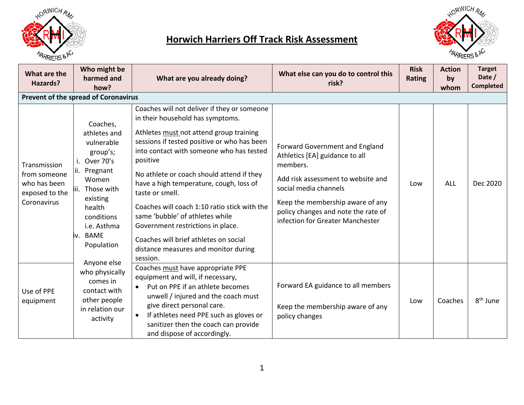

## **Horwich Harriers Off Track Risk Assessment**



| What are the<br>Hazards?                                                      | Who might be<br>harmed and<br>how?                                                                                                                                                                       | What are you already doing?                                                                                                                                                                                                                                                                                                                                                                                                                                                                                                                                       | What else can you do to control this<br>risk?                                                                                                                                                                                                              | <b>Risk</b><br><b>Rating</b> | <b>Action</b><br>by<br>whom | <b>Target</b><br>Date /<br><b>Completed</b> |
|-------------------------------------------------------------------------------|----------------------------------------------------------------------------------------------------------------------------------------------------------------------------------------------------------|-------------------------------------------------------------------------------------------------------------------------------------------------------------------------------------------------------------------------------------------------------------------------------------------------------------------------------------------------------------------------------------------------------------------------------------------------------------------------------------------------------------------------------------------------------------------|------------------------------------------------------------------------------------------------------------------------------------------------------------------------------------------------------------------------------------------------------------|------------------------------|-----------------------------|---------------------------------------------|
|                                                                               | <b>Prevent of the spread of Coronavirus</b>                                                                                                                                                              |                                                                                                                                                                                                                                                                                                                                                                                                                                                                                                                                                                   |                                                                                                                                                                                                                                                            |                              |                             |                                             |
| Transmission<br>from someone<br>who has been<br>exposed to the<br>Coronavirus | Coaches,<br>athletes and<br>vulnerable<br>group's;<br>Over 70's<br>ii. Pregnant<br>Women<br>Those with<br>Ш.<br>existing<br>health<br>conditions<br>i.e. Asthma<br>iv. BAME<br>Population<br>Anyone else | Coaches will not deliver if they or someone<br>in their household has symptoms.<br>Athletes must not attend group training<br>sessions if tested positive or who has been<br>into contact with someone who has tested<br>positive<br>No athlete or coach should attend if they<br>have a high temperature, cough, loss of<br>taste or smell.<br>Coaches will coach 1:10 ratio stick with the<br>same 'bubble' of athletes while<br>Government restrictions in place.<br>Coaches will brief athletes on social<br>distance measures and monitor during<br>session. | Forward Government and England<br>Athletics [EA] guidance to all<br>members.<br>Add risk assessment to website and<br>social media channels<br>Keep the membership aware of any<br>policy changes and note the rate of<br>infection for Greater Manchester | Low                          | <b>ALL</b>                  | Dec 2020                                    |
| Use of PPE<br>equipment                                                       | who physically<br>comes in<br>contact with<br>other people<br>in relation our<br>activity                                                                                                                | Coaches must have appropriate PPE<br>equipment and will, if necessary,<br>Put on PPE if an athlete becomes<br>$\bullet$<br>unwell / injured and the coach must<br>give direct personal care.<br>If athletes need PPE such as gloves or<br>$\bullet$<br>sanitizer then the coach can provide<br>and dispose of accordingly.                                                                                                                                                                                                                                        | Forward EA guidance to all members<br>Keep the membership aware of any<br>policy changes                                                                                                                                                                   | Low                          | Coaches                     | 8 <sup>th</sup> June                        |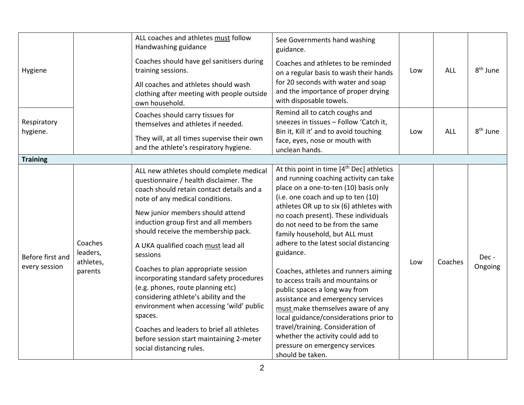| Hygiene                           |                                             | ALL coaches and athletes must follow<br>Handwashing guidance<br>Coaches should have gel sanitisers during<br>training sessions.<br>All coaches and athletes should wash<br>clothing after meeting with people outside<br>own household.                                                                                                                                                                                                                                                                                                                                                                                                                                                | See Governments hand washing<br>guidance.<br>Coaches and athletes to be reminded<br>on a regular basis to wash their hands<br>for 20 seconds with water and soap<br>and the importance of proper drying<br>with disposable towels.                                                                                                                                                                                                                                                                                                                                                                                                                                                                                                                              | Low | ALL        | 8 <sup>th</sup> June |
|-----------------------------------|---------------------------------------------|----------------------------------------------------------------------------------------------------------------------------------------------------------------------------------------------------------------------------------------------------------------------------------------------------------------------------------------------------------------------------------------------------------------------------------------------------------------------------------------------------------------------------------------------------------------------------------------------------------------------------------------------------------------------------------------|-----------------------------------------------------------------------------------------------------------------------------------------------------------------------------------------------------------------------------------------------------------------------------------------------------------------------------------------------------------------------------------------------------------------------------------------------------------------------------------------------------------------------------------------------------------------------------------------------------------------------------------------------------------------------------------------------------------------------------------------------------------------|-----|------------|----------------------|
| Respiratory<br>hygiene.           |                                             | Coaches should carry tissues for<br>themselves and athletes if needed.<br>They will, at all times supervise their own<br>and the athlete's respiratory hygiene.                                                                                                                                                                                                                                                                                                                                                                                                                                                                                                                        | Remind all to catch coughs and<br>sneezes in tissues - Follow 'Catch it,<br>Bin it, Kill it' and to avoid touching<br>face, eyes, nose or mouth with<br>unclean hands.                                                                                                                                                                                                                                                                                                                                                                                                                                                                                                                                                                                          | Low | <b>ALL</b> | 8 <sup>th</sup> June |
| <b>Training</b>                   |                                             |                                                                                                                                                                                                                                                                                                                                                                                                                                                                                                                                                                                                                                                                                        |                                                                                                                                                                                                                                                                                                                                                                                                                                                                                                                                                                                                                                                                                                                                                                 |     |            |                      |
| Before first and<br>every session | Coaches<br>leaders,<br>athletes,<br>parents | ALL new athletes should complete medical<br>questionnaire / health disclaimer. The<br>coach should retain contact details and a<br>note of any medical conditions.<br>New junior members should attend<br>induction group first and all members<br>should receive the membership pack.<br>A UKA qualified coach must lead all<br>sessions<br>Coaches to plan appropriate session<br>incorporating standard safety procedures<br>(e.g. phones, route planning etc)<br>considering athlete's ability and the<br>environment when accessing 'wild' public<br>spaces.<br>Coaches and leaders to brief all athletes<br>before session start maintaining 2-meter<br>social distancing rules. | At this point in time [4 <sup>th</sup> Dec] athletics<br>and running coaching activity can take<br>place on a one-to-ten (10) basis only<br>(i.e. one coach and up to ten (10)<br>athletes OR up to six (6) athletes with<br>no coach present). These individuals<br>do not need to be from the same<br>family household, but ALL must<br>adhere to the latest social distancing<br>guidance.<br>Coaches, athletes and runners aiming<br>to access trails and mountains or<br>public spaces a long way from<br>assistance and emergency services<br>must make themselves aware of any<br>local guidance/considerations prior to<br>travel/training. Consideration of<br>whether the activity could add to<br>pressure on emergency services<br>should be taken. | Low | Coaches    | Dec -<br>Ongoing     |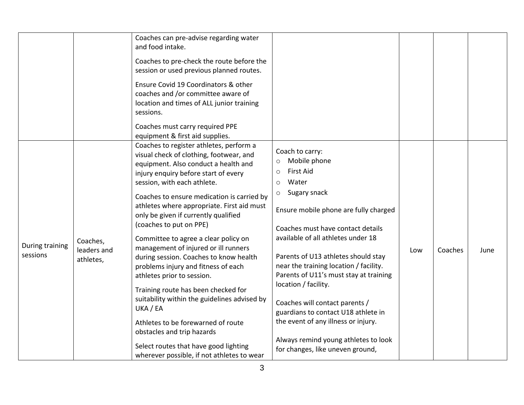|                             |                                      | Coaches can pre-advise regarding water<br>and food intake.<br>Coaches to pre-check the route before the<br>session or used previous planned routes.<br>Ensure Covid 19 Coordinators & other<br>coaches and /or committee aware of<br>location and times of ALL junior training<br>sessions.                                                                                                                                                                                                                                                                                                                                                                                                                                                                                                                                   |                                                                                                                                                                                                                                                                                                                                                                                                                                                                                                                                                                                             |     |         |      |
|-----------------------------|--------------------------------------|-------------------------------------------------------------------------------------------------------------------------------------------------------------------------------------------------------------------------------------------------------------------------------------------------------------------------------------------------------------------------------------------------------------------------------------------------------------------------------------------------------------------------------------------------------------------------------------------------------------------------------------------------------------------------------------------------------------------------------------------------------------------------------------------------------------------------------|---------------------------------------------------------------------------------------------------------------------------------------------------------------------------------------------------------------------------------------------------------------------------------------------------------------------------------------------------------------------------------------------------------------------------------------------------------------------------------------------------------------------------------------------------------------------------------------------|-----|---------|------|
|                             |                                      | Coaches must carry required PPE<br>equipment & first aid supplies.                                                                                                                                                                                                                                                                                                                                                                                                                                                                                                                                                                                                                                                                                                                                                            |                                                                                                                                                                                                                                                                                                                                                                                                                                                                                                                                                                                             |     |         |      |
| During training<br>sessions | Coaches,<br>leaders and<br>athletes, | Coaches to register athletes, perform a<br>visual check of clothing, footwear, and<br>equipment. Also conduct a health and<br>injury enquiry before start of every<br>session, with each athlete.<br>Coaches to ensure medication is carried by<br>athletes where appropriate. First aid must<br>only be given if currently qualified<br>(coaches to put on PPE)<br>Committee to agree a clear policy on<br>management of injured or ill runners<br>during session. Coaches to know health<br>problems injury and fitness of each<br>athletes prior to session.<br>Training route has been checked for<br>suitability within the guidelines advised by<br>UKA / EA<br>Athletes to be forewarned of route<br>obstacles and trip hazards<br>Select routes that have good lighting<br>wherever possible, if not athletes to wear | Coach to carry:<br>Mobile phone<br>$\circ$<br><b>First Aid</b><br>$\circ$<br>Water<br>$\circ$<br>Sugary snack<br>$\circ$<br>Ensure mobile phone are fully charged<br>Coaches must have contact details<br>available of all athletes under 18<br>Parents of U13 athletes should stay<br>near the training location / facility.<br>Parents of U11's must stay at training<br>location / facility.<br>Coaches will contact parents /<br>guardians to contact U18 athlete in<br>the event of any illness or injury.<br>Always remind young athletes to look<br>for changes, like uneven ground, | Low | Coaches | June |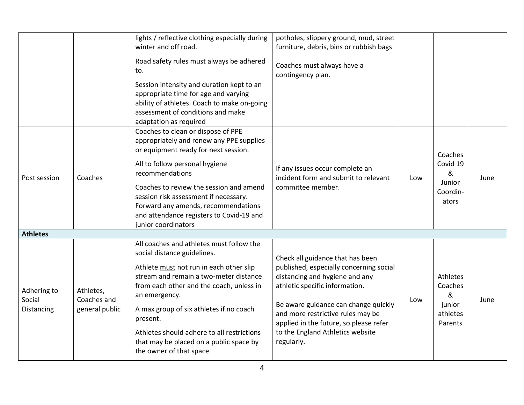|                                     |                                            | lights / reflective clothing especially during<br>winter and off road.<br>Road safety rules must always be adhered<br>to.<br>Session intensity and duration kept to an<br>appropriate time for age and varying                                                                                                                                                                                                                                                            | potholes, slippery ground, mud, street<br>furniture, debris, bins or rubbish bags<br>Coaches must always have a<br>contingency plan.                                                                                                                                                                                     |     |                                                           |      |
|-------------------------------------|--------------------------------------------|---------------------------------------------------------------------------------------------------------------------------------------------------------------------------------------------------------------------------------------------------------------------------------------------------------------------------------------------------------------------------------------------------------------------------------------------------------------------------|--------------------------------------------------------------------------------------------------------------------------------------------------------------------------------------------------------------------------------------------------------------------------------------------------------------------------|-----|-----------------------------------------------------------|------|
|                                     |                                            | ability of athletes. Coach to make on-going<br>assessment of conditions and make<br>adaptation as required                                                                                                                                                                                                                                                                                                                                                                |                                                                                                                                                                                                                                                                                                                          |     |                                                           |      |
| Post session                        | Coaches                                    | Coaches to clean or dispose of PPE<br>appropriately and renew any PPE supplies<br>or equipment ready for next session.<br>All to follow personal hygiene<br>If any issues occur complete an<br>recommendations<br>incident form and submit to relevant<br>Coaches to review the session and amend<br>committee member.<br>session risk assessment if necessary.<br>Forward any amends, recommendations<br>and attendance registers to Covid-19 and<br>junior coordinators |                                                                                                                                                                                                                                                                                                                          | Low | Coaches<br>Covid 19<br>&<br>Junior<br>Coordin-<br>ators   | June |
| <b>Athletes</b>                     |                                            |                                                                                                                                                                                                                                                                                                                                                                                                                                                                           |                                                                                                                                                                                                                                                                                                                          |     |                                                           |      |
| Adhering to<br>Social<br>Distancing | Athletes,<br>Coaches and<br>general public | All coaches and athletes must follow the<br>social distance guidelines.<br>Athlete must not run in each other slip<br>stream and remain a two-meter distance<br>from each other and the coach, unless in<br>an emergency.<br>A max group of six athletes if no coach<br>present.<br>Athletes should adhere to all restrictions<br>that may be placed on a public space by<br>the owner of that space                                                                      | Check all guidance that has been<br>published, especially concerning social<br>distancing and hygiene and any<br>athletic specific information.<br>Be aware guidance can change quickly<br>and more restrictive rules may be<br>applied in the future, so please refer<br>to the England Athletics website<br>regularly. | Low | Athletes<br>Coaches<br>&<br>junior<br>athletes<br>Parents | June |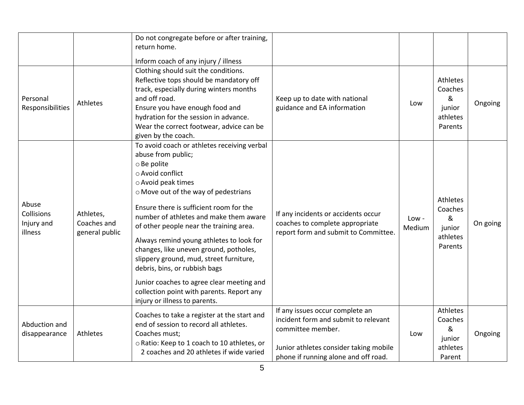|                                              |                                            | Do not congregate before or after training,<br>return home.<br>Inform coach of any injury / illness                                                                                                                                                                                                                                                                                                                                                                                                                                                                                             |                                                                                                                                                                                |                 |                                                                  |          |
|----------------------------------------------|--------------------------------------------|-------------------------------------------------------------------------------------------------------------------------------------------------------------------------------------------------------------------------------------------------------------------------------------------------------------------------------------------------------------------------------------------------------------------------------------------------------------------------------------------------------------------------------------------------------------------------------------------------|--------------------------------------------------------------------------------------------------------------------------------------------------------------------------------|-----------------|------------------------------------------------------------------|----------|
| Personal<br>Responsibilities                 | Athletes                                   | Clothing should suit the conditions.<br>Reflective tops should be mandatory off<br>track, especially during winters months<br>and off road.<br>Ensure you have enough food and<br>hydration for the session in advance.<br>Wear the correct footwear, advice can be<br>given by the coach.                                                                                                                                                                                                                                                                                                      | Keep up to date with national<br>guidance and EA information                                                                                                                   | Low             | Athletes<br>Coaches<br>&<br>junior<br>athletes<br>Parents        | Ongoing  |
| Abuse<br>Collisions<br>Injury and<br>illness | Athletes,<br>Coaches and<br>general public | To avoid coach or athletes receiving verbal<br>abuse from public;<br>o Be polite<br>○ Avoid conflict<br>o Avoid peak times<br>o Move out of the way of pedestrians<br>Ensure there is sufficient room for the<br>number of athletes and make them aware<br>of other people near the training area.<br>Always remind young athletes to look for<br>changes, like uneven ground, potholes,<br>slippery ground, mud, street furniture,<br>debris, bins, or rubbish bags<br>Junior coaches to agree clear meeting and<br>collection point with parents. Report any<br>injury or illness to parents. | If any incidents or accidents occur<br>coaches to complete appropriate<br>report form and submit to Committee.                                                                 | Low -<br>Medium | <b>Athletes</b><br>Coaches<br>&<br>junior<br>athletes<br>Parents | On going |
| Abduction and<br>disappearance               | Athletes                                   | Coaches to take a register at the start and<br>end of session to record all athletes.<br>Coaches must;<br>o Ratio: Keep to 1 coach to 10 athletes, or<br>2 coaches and 20 athletes if wide varied                                                                                                                                                                                                                                                                                                                                                                                               | If any issues occur complete an<br>incident form and submit to relevant<br>committee member.<br>Junior athletes consider taking mobile<br>phone if running alone and off road. | Low             | Athletes<br>Coaches<br>&<br>junior<br>athletes<br>Parent         | Ongoing  |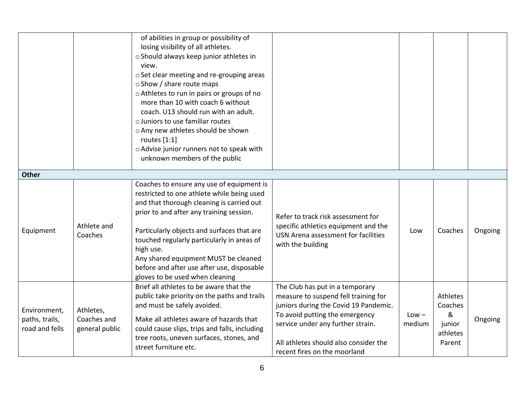|                                                  |                                            | of abilities in group or possibility of<br>losing visibility of all athletes.<br>o Should always keep junior athletes in<br>view.<br>o Set clear meeting and re-grouping areas<br>○ Show / share route maps<br>o Athletes to run in pairs or groups of no<br>more than 10 with coach 6 without<br>coach. U13 should run with an adult.<br>o Juniors to use familiar routes<br>o Any new athletes should be shown<br>routes $[1:1]$<br>o Advise junior runners not to speak with<br>unknown members of the public |                                                                                                                                                                                                                                                                  |                   |                                                                 |         |
|--------------------------------------------------|--------------------------------------------|------------------------------------------------------------------------------------------------------------------------------------------------------------------------------------------------------------------------------------------------------------------------------------------------------------------------------------------------------------------------------------------------------------------------------------------------------------------------------------------------------------------|------------------------------------------------------------------------------------------------------------------------------------------------------------------------------------------------------------------------------------------------------------------|-------------------|-----------------------------------------------------------------|---------|
| <b>Other</b>                                     |                                            | Coaches to ensure any use of equipment is                                                                                                                                                                                                                                                                                                                                                                                                                                                                        |                                                                                                                                                                                                                                                                  |                   |                                                                 |         |
| Equipment                                        | Athlete and<br>Coaches                     | restricted to one athlete while being used<br>and that thorough cleaning is carried out<br>prior to and after any training session.<br>Particularly objects and surfaces that are<br>touched regularly particularly in areas of<br>high use.<br>Any shared equipment MUST be cleaned<br>before and after use after use, disposable<br>gloves to be used when cleaning                                                                                                                                            | Refer to track risk assessment for<br>specific athletics equipment and the<br>USN Arena assessment for facilities<br>with the building                                                                                                                           | Low               | Coaches                                                         | Ongoing |
| Environment,<br>paths, trails,<br>road and fells | Athletes,<br>Coaches and<br>general public | Brief all athletes to be aware that the<br>public take priority on the paths and trails<br>and must be safely avoided.<br>Make all athletes aware of hazards that<br>could cause slips, trips and falls, including<br>tree roots, uneven surfaces, stones, and<br>street furniture etc.                                                                                                                                                                                                                          | The Club has put in a temporary<br>measure to suspend fell training for<br>juniors during the Covid 19 Pandemic.<br>To avoid putting the emergency<br>service under any further strain.<br>All athletes should also consider the<br>recent fires on the moorland | $Low -$<br>medium | <b>Athletes</b><br>Coaches<br>&<br>junior<br>athletes<br>Parent | Ongoing |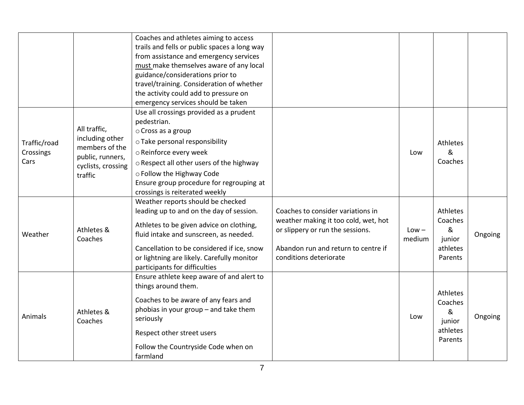|                                   |                                                                                                        | Coaches and athletes aiming to access<br>trails and fells or public spaces a long way<br>from assistance and emergency services<br>must make themselves aware of any local<br>guidance/considerations prior to<br>travel/training. Consideration of whether<br>the activity could add to pressure on<br>emergency services should be taken |                                                                                                                                                                                |                   |                                                           |         |
|-----------------------------------|--------------------------------------------------------------------------------------------------------|--------------------------------------------------------------------------------------------------------------------------------------------------------------------------------------------------------------------------------------------------------------------------------------------------------------------------------------------|--------------------------------------------------------------------------------------------------------------------------------------------------------------------------------|-------------------|-----------------------------------------------------------|---------|
| Traffic/road<br>Crossings<br>Cars | All traffic,<br>including other<br>members of the<br>public, runners,<br>cyclists, crossing<br>traffic | Use all crossings provided as a prudent<br>pedestrian.<br>o Cross as a group<br>o Take personal responsibility<br>o Reinforce every week<br>o Respect all other users of the highway<br>o Follow the Highway Code<br>Ensure group procedure for regrouping at<br>crossings is reiterated weekly                                            |                                                                                                                                                                                | Low               | Athletes<br>&<br>Coaches                                  |         |
| Weather                           | Athletes &<br>Coaches                                                                                  | Weather reports should be checked<br>leading up to and on the day of session.<br>Athletes to be given advice on clothing,<br>fluid intake and sunscreen, as needed.<br>Cancellation to be considered if ice, snow<br>or lightning are likely. Carefully monitor<br>participants for difficulties                                           | Coaches to consider variations in<br>weather making it too cold, wet, hot<br>or slippery or run the sessions.<br>Abandon run and return to centre if<br>conditions deteriorate | $Low -$<br>medium | Athletes<br>Coaches<br>&<br>junior<br>athletes<br>Parents | Ongoing |
| Animals                           | Athletes &<br>Coaches                                                                                  | Ensure athlete keep aware of and alert to<br>things around them.<br>Coaches to be aware of any fears and<br>phobias in your group $-$ and take them<br>seriously<br>Respect other street users<br>Follow the Countryside Code when on<br>farmland                                                                                          |                                                                                                                                                                                | Low               | Athletes<br>Coaches<br>&<br>junior<br>athletes<br>Parents | Ongoing |